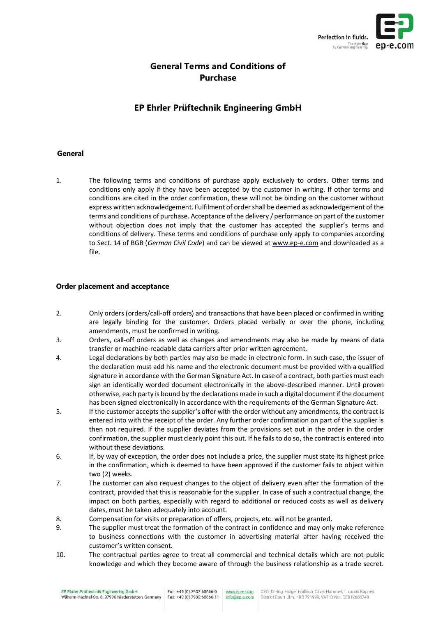

# **General Terms and Conditions of Purchase**

# **EP Ehrler Prüftechnik Engineering GmbH**

## **General**

1. The following terms and conditions of purchase apply exclusively to orders. Other terms and conditions only apply if they have been accepted by the customer in writing. If other terms and conditions are cited in the order confirmation, these will not be binding on the customer without express written acknowledgement. Fulfilment of order shall be deemed as acknowledgement of the terms and conditions of purchase. Acceptance of the delivery / performance on part of the customer without objection does not imply that the customer has accepted the supplier's terms and conditions of delivery. These terms and conditions of purchase only apply to companies according to Sect. 14 of BGB (*German Civil Code*) and can be viewed at [www.ep-e.com](http://www.ep-e.com/) and downloaded as a file.

### **Order placement and acceptance**

- 2. Only orders (orders/call-off orders) and transactions that have been placed or confirmed in writing are legally binding for the customer. Orders placed verbally or over the phone, including amendments, must be confirmed in writing.
- 3. Orders, call-off orders as well as changes and amendments may also be made by means of data transfer or machine-readable data carriers after prior written agreement.
- 4. Legal declarations by both parties may also be made in electronic form. In such case, the issuer of the declaration must add his name and the electronic document must be provided with a qualified signature in accordance with the German Signature Act. In case of a contract, both parties must each sign an identically worded document electronically in the above-described manner. Until proven otherwise, each party is bound by the declarations made in such a digital document if the document has been signed electronically in accordance with the requirements of the German Signature Act.
- 5. If the customer accepts the supplier's offer with the order without any amendments, the contract is entered into with the receipt of the order. Any further order confirmation on part of the supplier is then not required. If the supplier deviates from the provisions set out in the order in the order confirmation, the supplier must clearly point this out. If he fails to do so, the contract is entered into without these deviations.
- 6. If, by way of exception, the order does not include a price, the supplier must state its highest price in the confirmation, which is deemed to have been approved if the customer fails to object within two (2) weeks.
- 7. The customer can also request changes to the object of delivery even after the formation of the contract, provided that this is reasonable for the supplier. In case of such a contractual change, the impact on both parties, especially with regard to additional or reduced costs as well as delivery dates, must be taken adequately into account.
- 8. Compensation for visits or preparation of offers, projects, etc. will not be granted.
- 9. The supplier must treat the formation of the contract in confidence and may only make reference to business connections with the customer in advertising material after having received the customer's written consent.
- 10. The contractual parties agree to treat all commercial and technical details which are not public knowledge and which they become aware of through the business relationship as a trade secret.

www.ep-e.com info@ep-e.com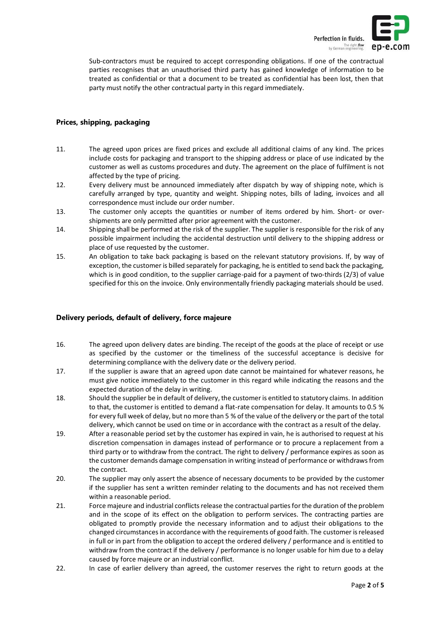

Sub-contractors must be required to accept corresponding obligations. If one of the contractual parties recognises that an unauthorised third party has gained knowledge of information to be treated as confidential or that a document to be treated as confidential has been lost, then that party must notify the other contractual party in this regard immediately.

### **Prices, shipping, packaging**

- 11. The agreed upon prices are fixed prices and exclude all additional claims of any kind. The prices include costs for packaging and transport to the shipping address or place of use indicated by the customer as well as customs procedures and duty. The agreement on the place of fulfilment is not affected by the type of pricing.
- 12. Every delivery must be announced immediately after dispatch by way of shipping note, which is carefully arranged by type, quantity and weight. Shipping notes, bills of lading, invoices and all correspondence must include our order number.
- 13. The customer only accepts the quantities or number of items ordered by him. Short- or overshipments are only permitted after prior agreement with the customer.
- 14. Shipping shall be performed at the risk of the supplier. The supplier is responsible for the risk of any possible impairment including the accidental destruction until delivery to the shipping address or place of use requested by the customer.
- 15. An obligation to take back packaging is based on the relevant statutory provisions. If, by way of exception, the customer is billed separately for packaging, he is entitled to send back the packaging, which is in good condition, to the supplier carriage-paid for a payment of two-thirds (2/3) of value specified for this on the invoice. Only environmentally friendly packaging materials should be used.

# **Delivery periods, default of delivery, force majeure**

- 16. The agreed upon delivery dates are binding. The receipt of the goods at the place of receipt or use as specified by the customer or the timeliness of the successful acceptance is decisive for determining compliance with the delivery date or the delivery period.
- 17. If the supplier is aware that an agreed upon date cannot be maintained for whatever reasons, he must give notice immediately to the customer in this regard while indicating the reasons and the expected duration of the delay in writing.
- 18. Should the supplier be in default of delivery, the customer is entitled to statutory claims. In addition to that, the customer is entitled to demand a flat-rate compensation for delay. It amounts to 0.5 % for every full week of delay, but no more than 5 % of the value of the delivery or the part of the total delivery, which cannot be used on time or in accordance with the contract as a result of the delay.
- 19. After a reasonable period set by the customer has expired in vain, he is authorised to request at his discretion compensation in damages instead of performance or to procure a replacement from a third party or to withdraw from the contract. The right to delivery / performance expires as soon as the customer demands damage compensation in writing instead of performance or withdraws from the contract.
- 20. The supplier may only assert the absence of necessary documents to be provided by the customer if the supplier has sent a written reminder relating to the documents and has not received them within a reasonable period.
- 21. Force majeure and industrial conflicts release the contractual parties for the duration of the problem and in the scope of its effect on the obligation to perform services. The contracting parties are obligated to promptly provide the necessary information and to adjust their obligations to the changed circumstances in accordance with the requirements of good faith. The customer is released in full or in part from the obligation to accept the ordered delivery / performance and is entitled to withdraw from the contract if the delivery / performance is no longer usable for him due to a delay caused by force majeure or an industrial conflict.
- 22. In case of earlier delivery than agreed, the customer reserves the right to return goods at the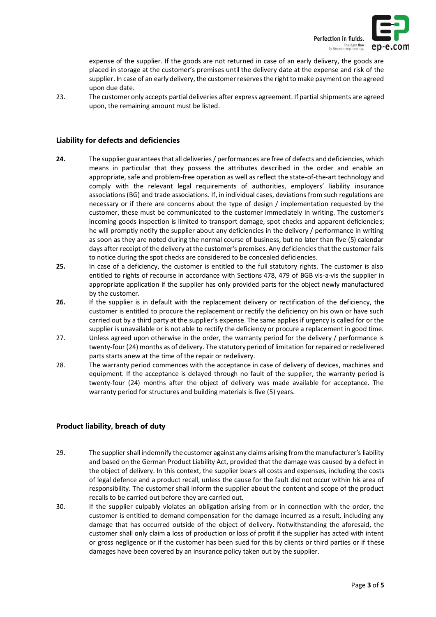

expense of the supplier. If the goods are not returned in case of an early delivery, the goods are placed in storage at the customer's premises until the delivery date at the expense and risk of the supplier. In case of an early delivery, the customer reserves the right to make payment on the agreed upon due date.

23. The customer only accepts partial deliveries after express agreement. If partial shipments are agreed upon, the remaining amount must be listed.

#### **Liability for defects and deficiencies**

- **24.** The supplier guarantees that all deliveries / performances are free of defects and deficiencies, which means in particular that they possess the attributes described in the order and enable an appropriate, safe and problem-free operation as well as reflect the state-of-the-art technology and comply with the relevant legal requirements of authorities, employers' liability insurance associations (BG) and trade associations. If, in individual cases, deviations from such regulations are necessary or if there are concerns about the type of design / implementation requested by the customer, these must be communicated to the customer immediately in writing. The customer's incoming goods inspection is limited to transport damage, spot checks and apparent deficiencies; he will promptly notify the supplier about any deficiencies in the delivery / performance in writing as soon as they are noted during the normal course of business, but no later than five (5) calendar days after receipt of the delivery at the customer's premises. Any deficiencies that the customer fails to notice during the spot checks are considered to be concealed deficiencies.
- **25.** In case of a deficiency, the customer is entitled to the full statutory rights. The customer is also entitled to rights of recourse in accordance with Sections 478, 479 of BGB vis-a-vis the supplier in appropriate application if the supplier has only provided parts for the object newly manufactured by the customer.
- **26.** If the supplier is in default with the replacement delivery or rectification of the deficiency, the customer is entitled to procure the replacement or rectify the deficiency on his own or have such carried out by a third party at the supplier's expense. The same applies if urgency is called for or the supplier is unavailable or is not able to rectify the deficiency or procure a replacement in good time.
- 27. Unless agreed upon otherwise in the order, the warranty period for the delivery / performance is twenty-four (24) months as of delivery. The statutory period of limitation for repaired or redelivered parts starts anew at the time of the repair or redelivery.
- 28. The warranty period commences with the acceptance in case of delivery of devices, machines and equipment. If the acceptance is delayed through no fault of the supplier, the warranty period is twenty-four (24) months after the object of delivery was made available for acceptance. The warranty period for structures and building materials is five (5) years.

# **Product liability, breach of duty**

- 29. The supplier shall indemnify the customer against any claims arising from the manufacturer's liability and based on the German Product Liability Act, provided that the damage was caused by a defect in the object of delivery. In this context, the supplier bears all costs and expenses, including the costs of legal defence and a product recall, unless the cause for the fault did not occur within his area of responsibility. The customer shall inform the supplier about the content and scope of the product recalls to be carried out before they are carried out.
- 30. If the supplier culpably violates an obligation arising from or in connection with the order, the customer is entitled to demand compensation for the damage incurred as a result, including any damage that has occurred outside of the object of delivery. Notwithstanding the aforesaid, the customer shall only claim a loss of production or loss of profit if the supplier has acted with intent or gross negligence or if the customer has been sued for this by clients or third parties or if these damages have been covered by an insurance policy taken out by the supplier.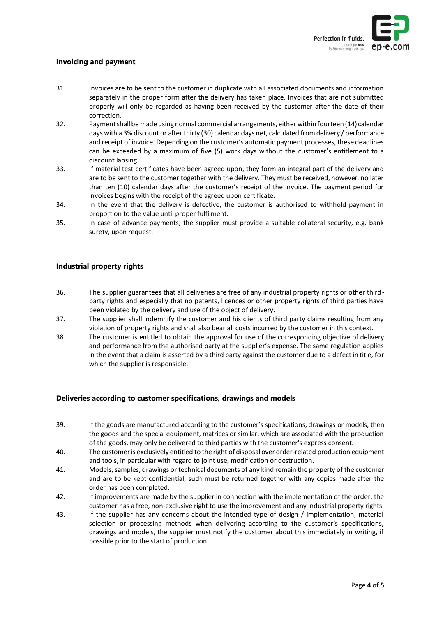

### **Invoicing and payment**

- 31. Invoices are to be sent to the customer in duplicate with all associated documents and information separately in the proper form after the delivery has taken place. Invoices that are not submitted properly will only be regarded as having been received by the customer after the date of their correction.
- 32. Payment shall be made using normal commercial arrangements, either within fourteen (14) calendar days with a 3% discount or after thirty (30) calendar days net, calculated from delivery / performance and receipt of invoice. Depending on the customer's automatic payment processes, these deadlines can be exceeded by a maximum of five (5) work days without the customer's entitlement to a discount lapsing.
- 33. If material test certificates have been agreed upon, they form an integral part of the delivery and are to be sent to the customer together with the delivery. They must be received, however, no later than ten (10) calendar days after the customer's receipt of the invoice. The payment period for invoices begins with the receipt of the agreed upon certificate.
- 34. In the event that the delivery is defective, the customer is authorised to withhold payment in proportion to the value until proper fulfilment.
- 35. In case of advance payments, the supplier must provide a suitable collateral security, e.g. bank surety, upon request.

# **Industrial property rights**

- 36. The supplier guarantees that all deliveries are free of any industrial property rights or other thirdparty rights and especially that no patents, licences or other property rights of third parties have been violated by the delivery and use of the object of delivery.
- 37. The supplier shall indemnify the customer and his clients of third party claims resulting from any violation of property rights and shall also bear all costs incurred by the customer in this context.
- 38. The customer is entitled to obtain the approval for use of the corresponding objective of delivery and performance from the authorised party at the supplier's expense. The same regulation applies in the event that a claim is asserted by a third party against the customer due to a defect in title, for which the supplier is responsible.

#### **Deliveries according to customer specifications, drawings and models**

- 39. If the goods are manufactured according to the customer's specifications, drawings or models, then the goods and the special equipment, matrices or similar, which are associated with the production of the goods, may only be delivered to third parties with the customer's express consent.
- 40. The customer is exclusively entitled to the right of disposal over order-related production equipment and tools, in particular with regard to joint use, modification or destruction.
- 41. Models, samples, drawings or technical documents of any kind remain the property of the customer and are to be kept confidential; such must be returned together with any copies made after the order has been completed.
- 42. If improvements are made by the supplier in connection with the implementation of the order, the customer has a free, non-exclusive right to use the improvement and any industrial property rights.
- 43. If the supplier has any concerns about the intended type of design / implementation, material selection or processing methods when delivering according to the customer's specifications, drawings and models, the supplier must notify the customer about this immediately in writing, if possible prior to the start of production.